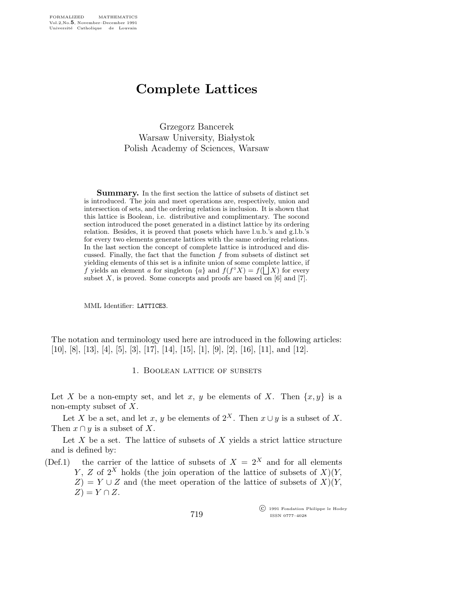## Complete Lattices

Grzegorz Bancerek Warsaw University, Białystok Polish Academy of Sciences, Warsaw

**Summary.** In the first section the lattice of subsets of distinct set is introduced. The join and meet operations are, respectively, union and intersection of sets, and the ordering relation is inclusion. It is shown that this lattice is Boolean, i.e. distributive and complimentary. The socond section introduced the poset generated in a distinct lattice by its ordering relation. Besides, it is proved that posets which have l.u.b.'s and g.l.b.'s for every two elements generate lattices with the same ordering relations. In the last section the concept of complete lattice is introduced and discussed. Finally, the fact that the function  $f$  from subsets of distinct set yielding elements of this set is a infinite union of some complete lattice, if f yields an element a for singleton  $\{a\}$  and  $f(f^{\circ}X) = f(\bigsqcup X)$  for every subset  $X$ , is proved. Some concepts and proofs are based on [6] and [7].

MML Identifier: LATTICE3.

The notation and terminology used here are introduced in the following articles: [10], [8], [13], [4], [5], [3], [17], [14], [15], [1], [9], [2], [16], [11], and [12].

## 1. Boolean lattice of subsets

Let X be a non-empty set, and let x, y be elements of X. Then  $\{x, y\}$  is a non-empty subset of  $X$ .

Let X be a set, and let x, y be elements of  $2^X$ . Then  $x \cup y$  is a subset of X. Then  $x \cap y$  is a subset of X.

Let  $X$  be a set. The lattice of subsets of  $X$  yields a strict lattice structure and is defined by:

(Def.1) the carrier of the lattice of subsets of  $X = 2^X$  and for all elements Y, Z of  $2^X$  holds (the join operation of the lattice of subsets of  $X$ )(Y,  $Z$ ) = Y ∪ Z and (the meet operation of the lattice of subsets of X)(Y,  $Z$ ) =  $Y \cap Z$ .

719

 c 1991 Fondation Philippe le Hodey ISSN 0777–4028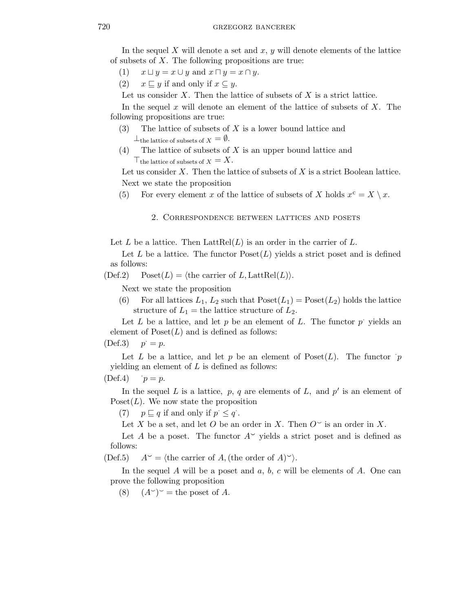In the sequel X will denote a set and  $x, y$  will denote elements of the lattice of subsets of  $X$ . The following propositions are true:

- (1)  $x \sqcup y = x \cup y$  and  $x \sqcap y = x \cap y$ .
- (2)  $x \sqsubseteq y$  if and only if  $x \subseteq y$ .

Let us consider  $X$ . Then the lattice of subsets of  $X$  is a strict lattice.

In the sequel x will denote an element of the lattice of subsets of  $X$ . The following propositions are true:

- $(3)$  The lattice of subsets of X is a lower bound lattice and  $\perp$ <sub>the lattice of subsets of  $X = \emptyset$ .</sub>
- (4) The lattice of subsets of  $X$  is an upper bound lattice and  $\top$ the lattice of subsets of  $X = X$ .

Let us consider  $X$ . Then the lattice of subsets of  $X$  is a strict Boolean lattice. Next we state the proposition

- (5) For every element x of the lattice of subsets of X holds  $x^c = X \setminus x$ .
	- 2. Correspondence between lattices and posets

Let L be a lattice. Then  $LattRel(L)$  is an order in the carrier of L.

Let L be a lattice. The functor  $\text{Poset}(L)$  yields a strict poset and is defined as follows:

 $(Def.2) \quad \text{Poset}(L) = \langle \text{the carrier of } L, \text{LattRel}(L) \rangle.$ 

Next we state the proposition

(6) For all lattices  $L_1, L_2$  such that  $Poset(L_1) = Poset(L_2)$  holds the lattice structure of  $L_1$  = the lattice structure of  $L_2$ .

Let L be a lattice, and let p be an element of L. The functor  $p^{\cdot}$  yields an element of  $Poset(L)$  and is defined as follows:

 $(Def.3)$  $p^{\cdot} = p.$ 

Let L be a lattice, and let p be an element of  $Poset(L)$ . The functor p yielding an element of  $L$  is defined as follows:

 $(Def.4)$   $p = p$ .

In the sequel L is a lattice,  $p, q$  are elements of L, and  $p'$  is an element of Poset $(L)$ . We now state the proposition

(7)  $p \sqsubseteq q$  if and only if  $p \leq q$ .

Let X be a set, and let O be an order in X. Then  $O^{\sim}$  is an order in X.

Let A be a poset. The functor  $A^{\sim}$  yields a strict poset and is defined as follows:

(Def.5)  $A^{\sim} = \langle \text{the carrier of } A, (\text{the order of } A)^{\sim} \rangle.$ 

In the sequel  $A$  will be a poset and  $a, b, c$  will be elements of  $A$ . One can prove the following proposition

(8)  $(A^{\sim})^{\sim}$  = the poset of A.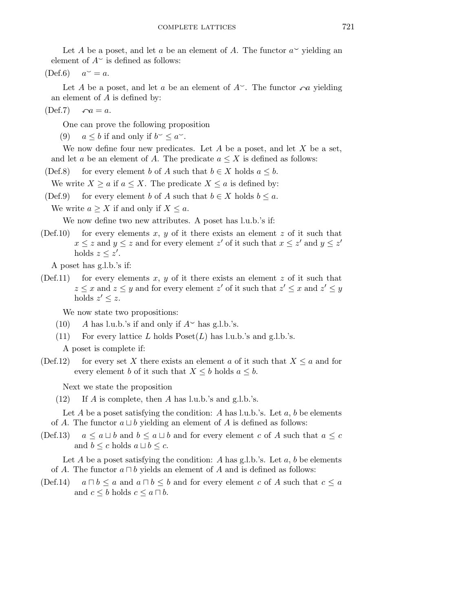Let A be a poset, and let a be an element of A. The functor  $a^{\sim}$  yielding an element of  $A^{\sim}$  is defined as follows:

 $(\text{Def.6})$   $a^{\sim} = a$ .

Let A be a poset, and let a be an element of  $A^{\vee}$ . The functor  $\curvearrowleft a$  yielding an element of A is defined by:

 $(Def.7)$   $\curvearrowleft a = a$ .

One can prove the following proposition

(9)  $a \leq b$  if and only if  $b \leq a$ .

We now define four new predicates. Let  $A$  be a poset, and let  $X$  be a set, and let a be an element of A. The predicate  $a \leq X$  is defined as follows:

(Def.8) for every element b of A such that  $b \in X$  holds  $a \leq b$ .

We write  $X \ge a$  if  $a \le X$ . The predicate  $X \le a$  is defined by:

(Def.9) for every element b of A such that  $b \in X$  holds  $b \leq a$ .

We write  $a \geq X$  if and only if  $X \leq a$ .

We now define two new attributes. A poset has l.u.b.'s if:

(Def.10) for every elements x, y of it there exists an element z of it such that  $x \leq z$  and  $y \leq z$  and for every element  $z'$  of it such that  $x \leq z'$  and  $y \leq z'$ holds  $z \leq z'$ .

A poset has g.l.b.'s if:

(Def.11) for every elements x, y of it there exists an element z of it such that  $z \leq x$  and  $z \leq y$  and for every element  $z'$  of it such that  $z' \leq x$  and  $z' \leq y$ holds  $z' \leq z$ .

We now state two propositions:

- (10) A has l.u.b.'s if and only if  $A^{\sim}$  has g.l.b.'s.
- (11) For every lattice L holds  $\text{Poset}(L)$  has l.u.b.'s and g.l.b.'s. A poset is complete if:
- (Def.12) for every set X there exists an element a of it such that  $X \le a$  and for every element b of it such that  $X \leq b$  holds  $a \leq b$ .

Next we state the proposition

(12) If A is complete, then A has l.u.b.'s and g.l.b.'s.

Let A be a poset satisfying the condition: A has l.u.b.'s. Let  $a, b$  be elements of A. The functor  $a \sqcup b$  yielding an element of A is defined as follows:

 $(\text{Def}.13)$  a  $\leq a \sqcup b$  and  $b \leq a \sqcup b$  and for every element c of A such that  $a \leq c$ and  $b \leq c$  holds  $a \sqcup b \leq c$ .

Let A be a poset satisfying the condition: A has g.l.b.'s. Let  $a, b$  be elements of A. The functor  $a \sqcap b$  yields an element of A and is defined as follows:

(Def.14)  $a \sqcap b \leq a$  and  $a \sqcap b \leq b$  and for every element c of A such that  $c \leq a$ and  $c \leq b$  holds  $c \leq a \sqcap b$ .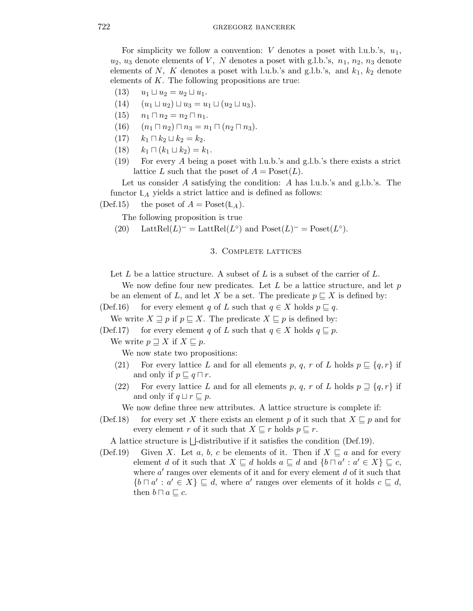For simplicity we follow a convention: V denotes a poset with l.u.b.'s,  $u_1$ ,  $u_2, u_3$  denote elements of V, N denotes a poset with g.l.b.'s,  $n_1, n_2, n_3$  denote elements of N, K denotes a poset with l.u.b.'s and g.l.b.'s, and  $k_1$ ,  $k_2$  denote elements of  $K$ . The following propositions are true:

- (13)  $u_1 \sqcup u_2 = u_2 \sqcup u_1$ .
- (14)  $(u_1 \sqcup u_2) \sqcup u_3 = u_1 \sqcup (u_2 \sqcup u_3).$
- $(15)$   $n_1 \sqcap n_2 = n_2 \sqcap n_1$ .
- (16)  $(n_1 \sqcap n_2) \sqcap n_3 = n_1 \sqcap (n_2 \sqcap n_3).$
- $(17)$   $k_1 \sqcap k_2 \sqcup k_2 = k_2.$
- $(k_1 \square (k_1 \square k_2) = k_1.$
- (19) For every A being a poset with l.u.b.'s and g.l.b.'s there exists a strict lattice L such that the poset of  $A = \text{Poset}(L)$ .

Let us consider A satisfying the condition: A has l.u.b.'s and g.l.b.'s. The functor  $\mathbb{L}_A$  yields a strict lattice and is defined as follows:

(Def.15) the poset of 
$$
A = \text{Poset}(\mathbb{L}_A)
$$
.

The following proposition is true

(20) LattRel(L)<sup> $\sim$ </sup> = LattRel(L<sup>o</sup>) and Poset(L)<sup> $\sim$ </sup> = Poset(L<sup>o</sup>).

## 3. Complete lattices

Let  $L$  be a lattice structure. A subset of  $L$  is a subset of the carrier of  $L$ .

We now define four new predicates. Let  $L$  be a lattice structure, and let  $p$ be an element of L, and let X be a set. The predicate  $p \subseteq X$  is defined by:

(Def.16) for every element q of L such that  $q \in X$  holds  $p \sqsubseteq q$ .

We write  $X \sqsupseteq p$  if  $p \sqsubseteq X$ . The predicate  $X \sqsubseteq p$  is defined by:

(Def.17) for every element q of L such that  $q \in X$  holds  $q \subseteq p$ .

We write  $p \sqsupseteq X$  if  $X \sqsubseteq p$ .

We now state two propositions:

- (21) For every lattice L and for all elements p, q, r of L holds  $p \subseteq \{q, r\}$  if and only if  $p \sqsubseteq q \sqcap r$ .
- (22) For every lattice L and for all elements p, q, r of L holds  $p \sqsupseteq \{q, r\}$  if and only if  $q \sqcup r \sqsubseteq p$ .

We now define three new attributes. A lattice structure is complete if:

(Def.18) for every set X there exists an element p of it such that  $X \sqsubseteq p$  and for every element r of it such that  $X \sqsubseteq r$  holds  $p \sqsubseteq r$ .

A lattice structure is  $\Box$ -distributive if it satisfies the condition (Def.19).

(Def.19) Given X. Let a, b, c be elements of it. Then if  $X \sqsubseteq a$  and for every element d of it such that  $X \sqsubseteq d$  holds  $a \sqsubseteq d$  and  $\{b \sqcap a' : a' \in X\} \sqsubseteq c$ , where  $a'$  ranges over elements of it and for every element d of it such that  $\{b \sqcap a' : a \in X\} \sqsubseteq d$ , where a' ranges over elements of it holds  $c \sqsubseteq d$ , then  $b \sqcap a \sqsubseteq c$ .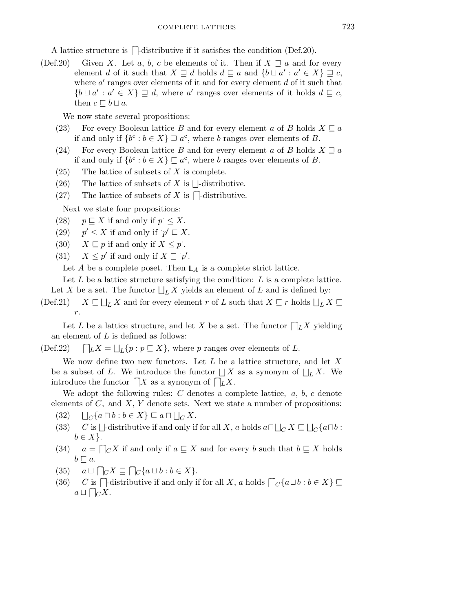A lattice structure is  $\Box$ -distributive if it satisfies the condition (Def.20).

(Def.20) Given X. Let a, b, c be elements of it. Then if  $X \supseteq a$  and for every element d of it such that  $X \sqsupseteq d$  holds  $d \sqsubseteq a$  and  $\{b \sqcup a' : a' \in X\} \sqsupseteq c$ , where  $a'$  ranges over elements of it and for every element d of it such that  $\{b \sqcup a' : a' \in X\} \sqsupseteq d$ , where a' ranges over elements of it holds  $d \sqsubseteq c$ , then  $c \sqsubseteq b \sqcup a$ .

We now state several propositions:

- (23) For every Boolean lattice B and for every element a of B holds  $X \sqsubseteq a$ if and only if  $\{b^c : b \in X\} \sqsupseteq a^c$ , where b ranges over elements of B.
- (24) For every Boolean lattice B and for every element a of B holds  $X \sqsupset a$ if and only if  $\{b^c : b \in X\} \sqsubseteq a^c$ , where b ranges over elements of B.
- $(25)$  The lattice of subsets of X is complete.
- (26) The lattice of subsets of X is  $\Box$ -distributive.
- $(27)$  The lattice of subsets of X is  $\Box$ -distributive.

Next we state four propositions:

- (28)  $p \sqsubseteq X$  if and only if  $p \leq X$ .
- $(29)$  $y' \leq X$  if and only if  $p' \sqsubseteq X$ .
- (30)  $X \sqsubseteq p$  if and only if  $X \leq p'$ .
- (31)  $X \leq p'$  if and only if  $X \sqsubseteq p'$ .

Let A be a complete poset. Then  $\mathbb{L}_A$  is a complete strict lattice.

Let  $L$  be a lattice structure satisfying the condition:  $L$  is a complete lattice. Let X be a set. The functor  $\bigsqcup_L X$  yields an element of L and is defined by:

 $(Def.21)$  $\bigsqcup_L X$  and for every element r of L such that  $X \sqsubseteq r$  holds  $\bigsqcup_L X \sqsubseteq r$ r.

Let L be a lattice structure, and let X be a set. The functor  $\bigcap_L X$  yielding an element of L is defined as follows:

 $(Def.22)$  $\Box_L X = \Box_L \{p : p \sqsubseteq X\}$ , where p ranges over elements of L.

We now define two new functors. Let  $L$  be a lattice structure, and let  $X$ be a subset of L. We introduce the functor  $\Box X$  as a synonym of  $\Box_L X$ . We introduce the functor  $\bigcap X$  as a synonym of  $\bigcap_L X$ .

We adopt the following rules:  $C$  denotes a complete lattice,  $a, b, c$  denote elements of  $C$ , and  $X, Y$  denote sets. Next we state a number of propositions:

- $(32)$  $C\{a\sqcap b : b\in X\}\sqsubseteq a\sqcap \bigsqcup_C X.$
- (33) C is  $\Box$ -distributive if and only if for all X, a holds  $a \Box \Box_C X \subseteq \Box_C \{a \Box b :$  $b \in X$ .
- (34)  $a = \bigcap_{\mathcal{C}} X$  if and only if  $a \sqsubseteq X$  and for every b such that  $b \sqsubseteq X$  holds  $b \sqsubset a$ .
- (35)  $a \sqcup \bigcap_{C} X \sqsubseteq \bigcap_{C} \{a \sqcup b : b \in X\}.$
- (36) C is  $\bigcap$ -distributive if and only if for all X, a holds  $\bigcap_C \{a \sqcup b : b \in X\} \sqsubseteq$  $a \sqcup \bigcap_{C} X.$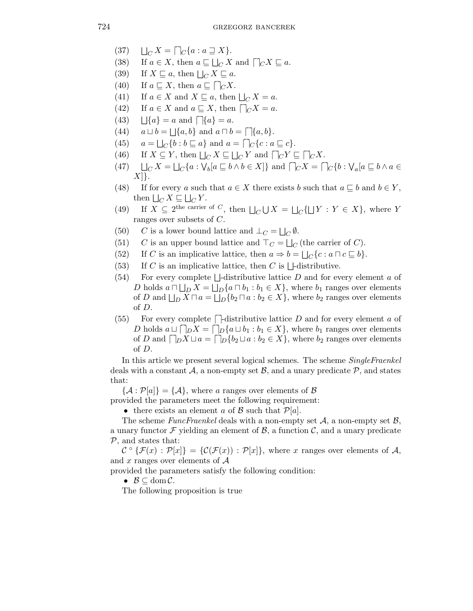- $(37)$  $_C X = \bigcap_C \{a : a \sqsupseteq X\}.$
- (38) If  $a \in X$ , then  $a \sqsubseteq \bigsqcup_C X$  and  $\bigcap_C X \sqsubseteq a$ .
- (39) If  $X \sqsubseteq a$ , then  $\bigsqcup_C X \sqsubseteq a$ . (39) If  $X \sqsubseteq a$ , then  $\bigsqcup_C X \sqsubseteq a$ .<br>(40) If  $a \sqsubseteq X$ , then  $a \sqsubseteq \bigcap_C X$ .
- 
- (41) If  $a \in X$  and  $X \sqsubseteq a$ , then  $\bigsqcup_C X = a$ .
- (42) If  $a \in X$  and  $a \subseteq X$ , then  $\bigcap_{\mathcal{C}} X = a$ .
- $(43)$  ${a}$  = a and  $\overline{\bigcap} {a}$  = a.
- (44)  $a \sqcup b = \bigsqcup \{a, b\}$  and  $a \sqcap b = \bigsqcup \{a, b\}.$
- (45)  $a = \bigsqcup_C \{b : b \sqsubseteq a\}$  and  $a = \bigcap_C \{c : a \sqsubseteq c\}.$
- (46) If  $X \subseteq Y$ , then  $\bigsqcup_C X \sqsubseteq \bigsqcup_C Y$  and  $\bigcap_C Y \sqsubseteq \bigcap_C X$ .
- $(47)$  $\overline{C}$   $X = \bigsqcup_{C} \{a : \sqrt{b} \mid a \sqsubseteq b \land b \in X\}$  and  $\overline{\bigcap_{C}}$   $X = \bigcap_{C} \{b : \sqrt{a} \mid a \sqsubseteq b \land a \in X\}$  $X$ ] $\}$ .
- (48) If for every a such that  $a \in X$  there exists b such that  $a \subseteq b$  and  $b \in Y$ , then  $\bigsqcup_C X \sqsubseteq \bigsqcup_C Y$ .
- (49) If  $X \subseteq 2^{\text{the carrier of } C}$ , then  $\bigsqcup_C \bigcup X = \bigsqcup_C \{\bigsqcup Y : Y \in X\}$ , where Y ranges over subsets of C.
- (50) C is a lower bound lattice and  $\bot_C = \bigsqcup_C \emptyset$ .
- (51) C is an upper bound lattice and  $\top_C = \bigsqcup_C$  (the carrier of C).
- (52) If C is an implicative lattice, then  $a \Rightarrow b = \bigsqcup_{C} \{c : a \sqcap c \sqsubseteq b\}.$
- (53) If C is an implicative lattice, then C is  $\Box$ -distributive.
- (54) For every complete  $\Box$ -distributive lattice D and for every element a of D holds  $a \sqcap \bigsqcup_D X = \bigsqcup_D \{a \sqcap b_1 : b_1 \in X\}$ , where  $b_1$  ranges over elements of D and  $\bigsqcup_D X \sqcap a = \bigsqcup_D \{b_2 \sqcap a : b_2 \in X\}$ , where  $b_2$  ranges over elements of D.
- (55) For every complete  $\bigcap$ -distributive lattice D and for every element a of D holds  $a \sqcup \bigcap_{D} X = \bigcap_{D} \{a \sqcup b_1 : b_1 \in X\}$ , where  $b_1$  ranges over elements of D and  $\bigcap_{D} X \sqcup a = \bigcap_{D} \{b_2 \sqcup a : b_2 \in X\}$ , where  $b_2$  ranges over elements of D.

In this article we present several logical schemes. The scheme SingleFraenkel deals with a constant A, a non-empty set  $\mathcal{B}$ , and a unary predicate  $\mathcal{P}$ , and states that:

 $\{\mathcal{A} : \mathcal{P}[a]\} = \{\mathcal{A}\}\$ , where a ranges over elements of  $\mathcal{B}$ 

provided the parameters meet the following requirement:

• there exists an element a of  $\mathcal{B}$  such that  $\mathcal{P}[a]$ .

The scheme FuncFraenkel deals with a non-empty set  $\mathcal{A}$ , a non-empty set  $\mathcal{B}$ , a unary functor  $\mathcal F$  yielding an element of  $\mathcal B$ , a function  $\mathcal C$ , and a unary predicate  $P$ , and states that:

 $\mathcal{C} \circ {\{\mathcal{F}(x) : \mathcal{P}[x]\}} = {\{\mathcal{C}(\mathcal{F}(x)) : \mathcal{P}[x]\}},$  where x ranges over elements of A, and x ranges over elements of  $A$ 

provided the parameters satisfy the following condition:

•  $\mathcal{B} \subseteq \text{dom}\,\mathcal{C}$ .

The following proposition is true